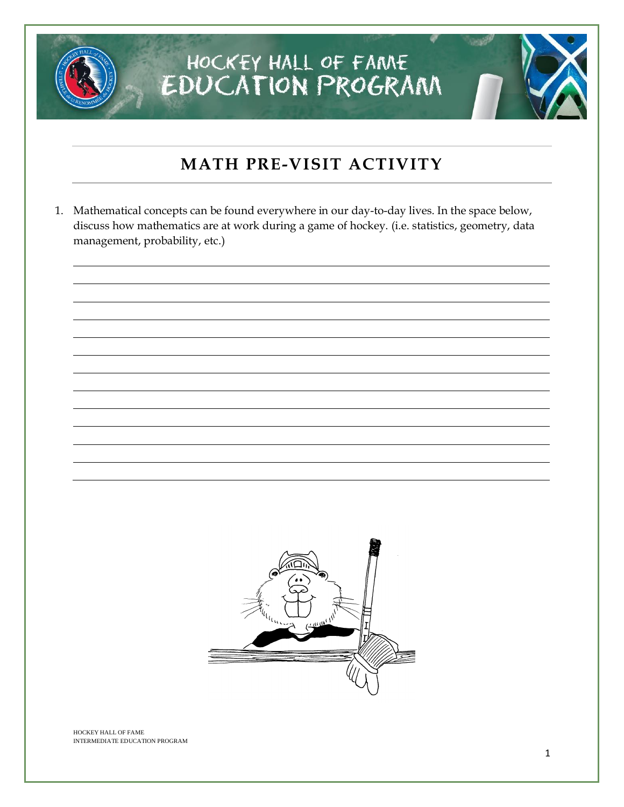

#### **MATH PRE-VISIT ACTIVITY**

1. Mathematical concepts can be found everywhere in our day-to-day lives. In the space below, discuss how mathematics are at work during a game of hockey. (i.e. statistics, geometry, data management, probability, etc.)

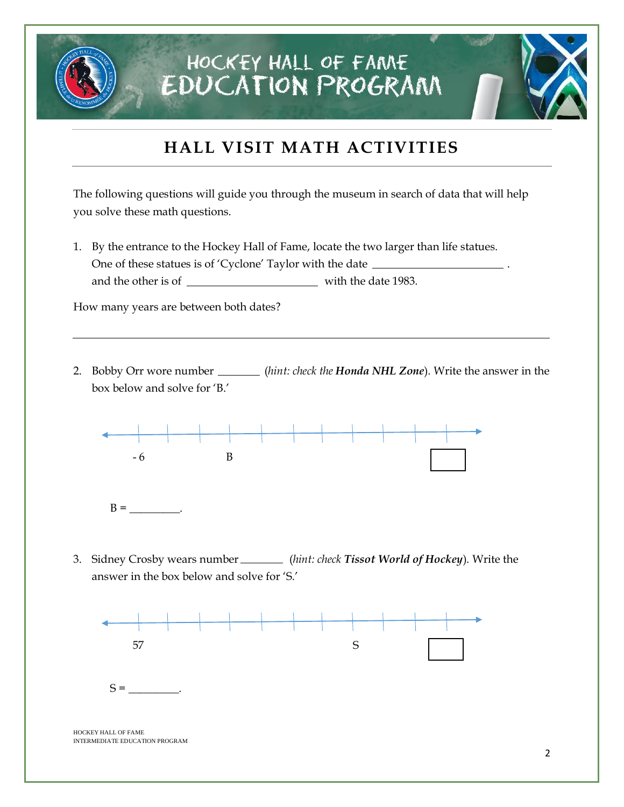

#### **HALL VISIT MATH ACTIVITIES**

The following questions will guide you through the museum in search of data that will help you solve these math questions.

1. By the entrance to the Hockey Hall of Fame, locate the two larger than life statues. One of these statues is of 'Cyclone' Taylor with the date \_\_\_\_\_\_\_\_\_\_\_\_\_\_\_\_\_\_\_\_\_\_\_. and the other is of with the date 1983.

How many years are between both dates?

2. Bobby Orr wore number (*hint: check the Honda NHL Zone*). Write the answer in the box below and solve for 'B.'



 $B = \underline{\qquad \qquad }$ 

3. Sidney Crosby wears number (*hint: check Tissot World of Hockey*). Write the answer in the box below and solve for 'S.'

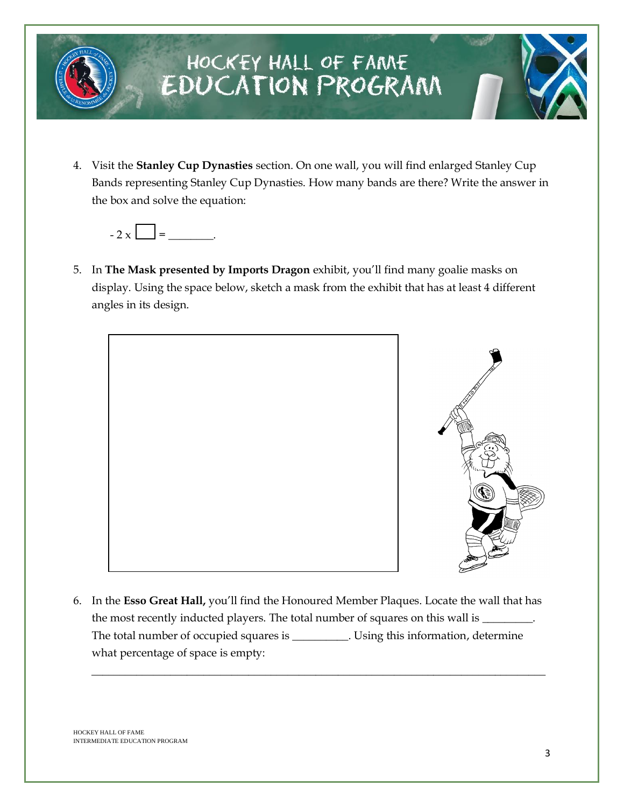

4. Visit the **Stanley Cup Dynasties** section. On one wall, you will find enlarged Stanley Cup Bands representing Stanley Cup Dynasties. How many bands are there? Write the answer in the box and solve the equation:



5. In **The Mask presented by Imports Dragon** exhibit, you'll find many goalie masks on display. Using the space below, sketch a mask from the exhibit that has at least 4 different angles in its design.



6. In the **Esso Great Hall,** you'll find the Honoured Member Plaques. Locate the wall that has the most recently inducted players. The total number of squares on this wall is  $\_\_$ The total number of occupied squares is \_\_\_\_\_\_\_\_\_\_. Using this information, determine what percentage of space is empty:

\_\_\_\_\_\_\_\_\_\_\_\_\_\_\_\_\_\_\_\_\_\_\_\_\_\_\_\_\_\_\_\_\_\_\_\_\_\_\_\_\_\_\_\_\_\_\_\_\_\_\_\_\_\_\_\_\_\_\_\_\_\_\_\_\_\_\_\_\_\_\_\_\_\_\_\_\_\_\_\_\_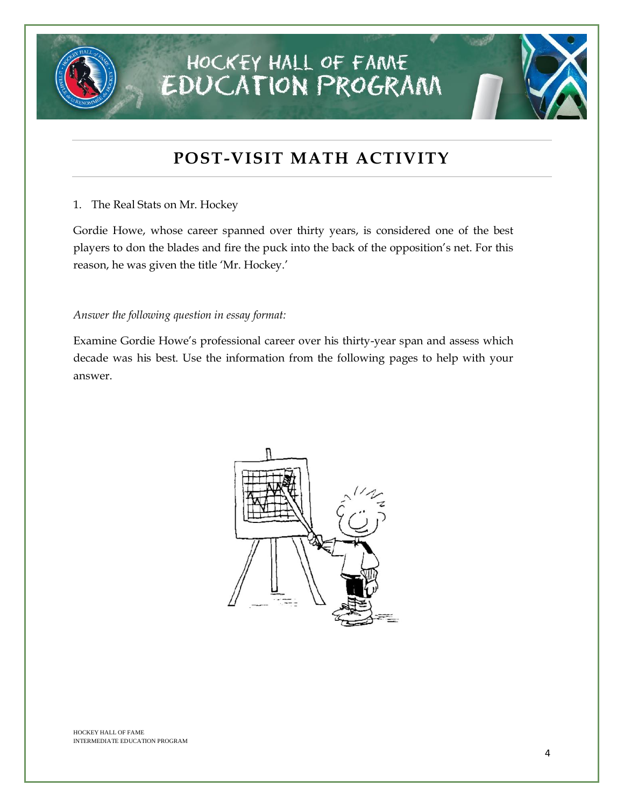### HOCKEY HALL OF FAME **EDUCATION PROGRAM**

#### **POST-VISIT MATH ACTIVITY**

1. The Real Stats on Mr. Hockey

Gordie Howe, whose career spanned over thirty years, is considered one of the best players to don the blades and fire the puck into the back of the opposition's net. For this reason, he was given the title 'Mr. Hockey.'

*Answer the following question in essay format:*

Examine Gordie Howe's professional career over his thirty-year span and assess which decade was his best. Use the information from the following pages to help with your answer.

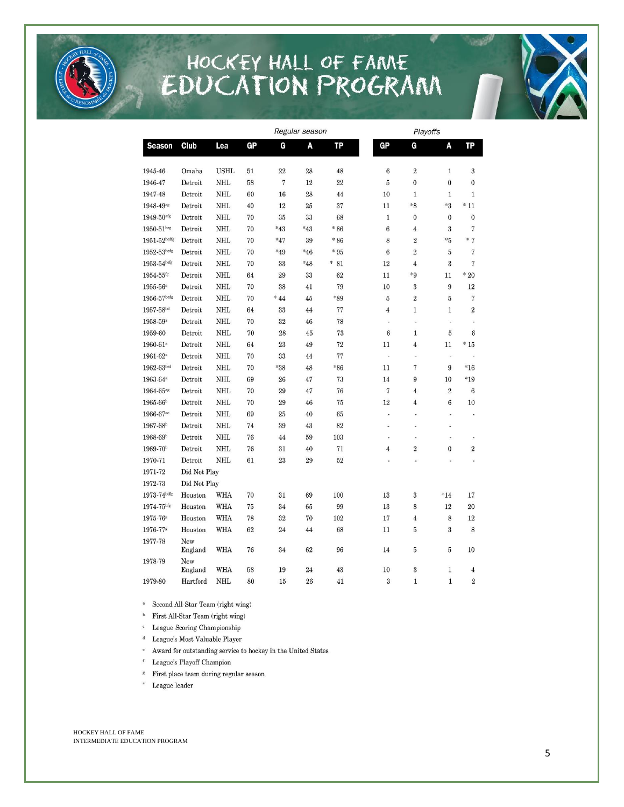# HOCKEY HALL OF FAME<br>EDUCATION PROGRAM

|                           |                |             |    | Regular season            | Playoffs |         |    |                   |                |                          |                          |  |
|---------------------------|----------------|-------------|----|---------------------------|----------|---------|----|-------------------|----------------|--------------------------|--------------------------|--|
| <b>Season</b>             | Club           | Lea         | GP | G                         | A        | TP      | GP |                   | G              | A                        | <b>TP</b>                |  |
|                           |                |             |    |                           |          |         |    |                   |                |                          |                          |  |
| 1945-46                   | Omaha          | <b>USHL</b> | 51 | 22                        | 28       | 48      |    | $\,6$             | $\,2$          | $\mathbf{1}$             | $\sqrt{3}$               |  |
| 1946-47                   | Detroit        | <b>NHL</b>  | 58 | $\overline{7}$            | 12       | 22      |    | $\bf 5$           | $\mathbf{0}$   | $\bf{0}$                 | $\mathbf{0}$             |  |
| 1947-48                   | Detroit        | NHL         | 60 | 16                        | 28       | 44      |    | 10                | $1\,$          | 1                        | $\mathbf{1}$             |  |
| 1948-49 <sup>ag</sup>     | Detroit        | NHL         | 40 | 12                        | 25       | 37      |    | 11                | $*_{8}$        | $*3$                     | $*11$                    |  |
| $1949 - 50$ afg           | Detroit        | <b>NHL</b>  | 70 | 35                        | 33       | 68      |    | $\mathbf{1}$      | $\bf{0}$       | $\bf{0}$                 | $\mathbf{0}$             |  |
| $1950 - 51$ beg           | Detroit        | <b>NHL</b>  | 70 | $*43$                     | $*43$    | $*86$   |    | $\boldsymbol{6}$  | $\overline{4}$ | 3                        | $\scriptstyle{7}$        |  |
| $1951 - 52$ bcdfg         | Detroit        | <b>NHL</b>  | 70 | $*47$                     | 39       | $*86$   |    | 8                 | $\,2$          | $*5$                     | $*7$                     |  |
| $1952-53$ bcdg            | Detroit        | <b>NHL</b>  | 70 | $*49$                     | $*46$    | $*95$   |    | $\,6$             | $\overline{2}$ | 5                        | $\scriptstyle{7}$        |  |
| $1953 - 54$ befg          | Detroit        | <b>NHL</b>  | 70 | 33                        | $*48$    | *<br>81 |    | 12                | $\overline{4}$ | 3                        | 7                        |  |
| $1954 - 55$ <sup>fg</sup> | Detroit        | <b>NHL</b>  | 64 | 29                        | 33       | 62      |    | 11                | *9             | 11                       | $*20$                    |  |
| $1955 - 56$ <sup>a</sup>  | Detroit        | <b>NHL</b>  | 70 | 38                        | 41       | 79      |    | 10                | 3              | 9                        | 12                       |  |
| $1956-57$ bedg            | Detroit        | <b>NHL</b>  | 70 | $\stackrel{*}{\text{44}}$ | 45       | *89     |    | $\bf 5$           | $\,2$          | 5                        | $\scriptstyle{7}$        |  |
| $1957 - 58$ hd            | Detroit        | NHL         | 64 | 33                        | 44       | 77      |    | $\overline{4}$    | $\mathbf{1}$   | $\mathbf{1}$             | $\overline{2}$           |  |
| 1958-59 <sup>a</sup>      | Detroit        | NHL         | 70 | 32                        | 46       | 78      |    | i.                | i.             | L,                       |                          |  |
| 1959-60                   | Detroit        | <b>NHL</b>  | 70 | 28                        | 45       | 73      |    | 6                 | 1              | $\overline{5}$           | 6                        |  |
| 1960-61 <sup>a</sup>      | Detroit        | <b>NHL</b>  | 64 | 23                        | 49       | 72      |    | 11                | $\,4$          | 11                       | $*15$                    |  |
| 1961-62 <sup>a</sup>      | Detroit        | <b>NHL</b>  | 70 | 33                        | 44       | 77      |    | i.                | ä,             | ä,                       |                          |  |
| $1962 - 63bcd$            | Detroit        | NHL         | 70 | $*38$                     | 48       | $*86$   |    | 11                | 7              | 9                        | $*16$                    |  |
| 1963-64 <sup>a</sup>      | Detroit        | <b>NHL</b>  | 69 | 26                        | 47       | 73      |    | 14                | 9              | 10                       | $*19$                    |  |
| 1964-65 <sup>ag</sup>     | Detroit        | <b>NHL</b>  | 70 | 29                        | 47       | 76      |    | $\scriptstyle{7}$ | $\,4$          | $\overline{2}$           | $\boldsymbol{6}$         |  |
| 1965-66 <sup>b</sup>      | Detroit        | <b>NHL</b>  | 70 | 29                        | 46       | 75      |    | 12                | $\overline{4}$ | 6                        | 10                       |  |
| 1966-67 <sup>ae</sup>     | Detroit        | <b>NHL</b>  | 69 | 25                        | 40       | 65      |    | ×                 | ä,             | ä,                       | ×                        |  |
| 1967-68 <sup>b</sup>      | Detroit        | <b>NHL</b>  | 74 | 39                        | 43       | 82      |    | i.                | ä,             | İ,                       |                          |  |
| 1968-69 <sup>b</sup>      | Detroit        | <b>NHL</b>  | 76 | 44                        | 59       | 103     |    |                   | ä,             | $\overline{\phantom{a}}$ | $\overline{\phantom{a}}$ |  |
| 1969-70 <sup>b</sup>      | Detroit        | <b>NHL</b>  | 76 | 31                        | 40       | 71      |    | 4                 | $\overline{2}$ | $\bf{0}$                 | $\overline{2}$           |  |
| 1970-71                   | Detroit        | <b>NHL</b>  | 61 | 23                        | 29       | 52      |    |                   |                |                          |                          |  |
| 1971-72                   | Did Not Play   |             |    |                           |          |         |    |                   |                |                          |                          |  |
| 1972-73                   | Did Not Play   |             |    |                           |          |         |    |                   |                |                          |                          |  |
| $1973-74$ bdfg            | Houston        | <b>WHA</b>  | 70 | 31                        | 69       | 100     |    | 13                | 3              | $*14$                    | 17                       |  |
| $1974 - 75^{bfg}$         | Houston        | <b>WHA</b>  | 75 | 34                        | 65       | 99      |    | 13                | 8              | 12                       | 20                       |  |
| 1975-76 <sup>g</sup>      | Houston        | <b>WHA</b>  | 78 | 32                        | 70       | 102     |    | 17                | $\overline{4}$ | 8                        | 12                       |  |
| 1976-778                  | Houston        | <b>WHA</b>  | 62 | 24                        | 44       | 68      |    | 11                | 5              | 3                        | 8                        |  |
| 1977-78                   | New<br>England | <b>WHA</b>  | 76 | 34                        | 62       | 96      |    | 14                | 5              | 5                        | 10                       |  |
| 1978-79                   | New<br>England | WHA         | 58 | 19                        | 24       | 43      |    | 10                | $\,3$          | $1\,$                    | $\overline{4}$           |  |
| 1979-80                   | Hartford       | <b>NHL</b>  | 80 | 15                        | 26       | 41      |    | 3                 | $\,1$          | $\mathbf{1}$             | $\,2$                    |  |
|                           |                |             |    |                           |          |         |    |                   |                |                          |                          |  |

 $^\mathrm{a}$  Second All-Star Team (right wing)

 $^{\rm b}$   $\;$  First All-Star Team (right wing)

 $^{\circ}$  League Scoring Championship

 $^{\mbox{\scriptsize d}}$  League's Most Valuable Player

 $^{\circ}$   $\;$  Award for outstanding service to hockey in the United States

 $^\ensuremath{\text{f}}$  League's Playoff Champion

 $\sqrt{s}$  – First place team during regular season

 $\mathcal{M}$ League leader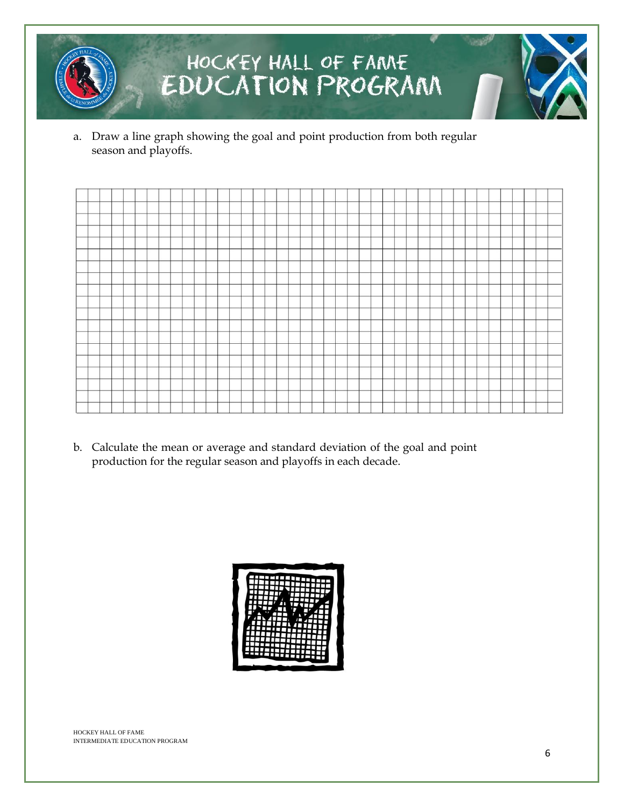

a. Draw a line graph showing the goal and point production from both regular season and playoffs.



b. Calculate the mean or average and standard deviation of the goal and point production for the regular season and playoffs in each decade.

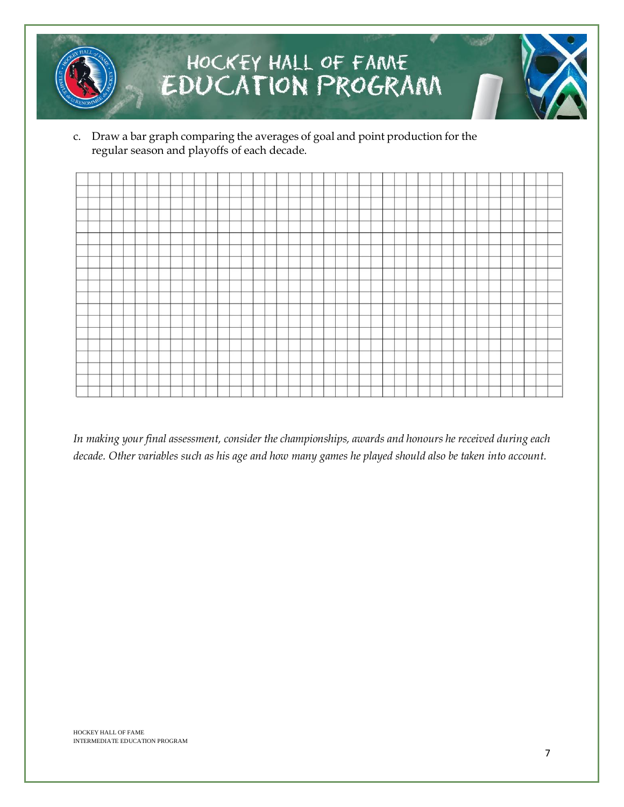

c. Draw a bar graph comparing the averages of goal and point production for the regular season and playoffs of each decade.



*In making your final assessment, consider the championships, awards and honours he received during each decade. Other variables such as his age and how many games he played should also be taken into account.*